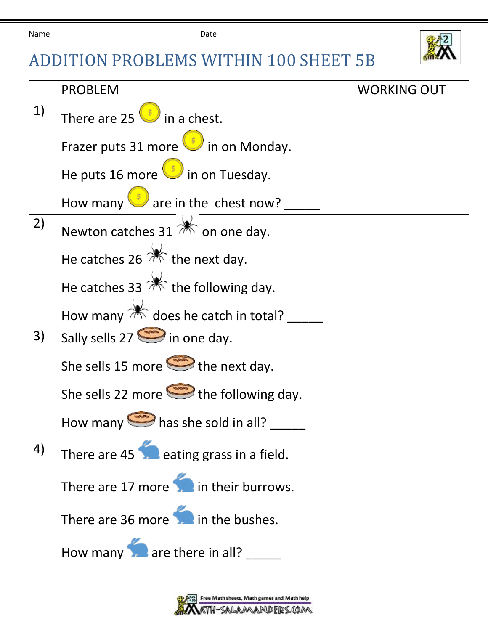

## ADDITION PROBLEMS WITHIN 100 SHEET 5B

|    | <b>PROBLEM</b>                                         | <b>WORKING OUT</b> |
|----|--------------------------------------------------------|--------------------|
| 1) | There are 25 $\bigcup$ in a chest.                     |                    |
|    | Frazer puts 31 more in on Monday.                      |                    |
|    | He puts 16 more $\bigcup$ in on Tuesday.               |                    |
|    | How many $\bigcup$ are in the chest now?               |                    |
| 2) | Newton catches 31 $\mathbb{R}$ on one day.             |                    |
|    | He catches 26 $*$ the next day.                        |                    |
|    | He catches 33 $*$ the following day.                   |                    |
|    | How many $\mathbb{R}^2$ does he catch in total?        |                    |
| 3) | Sally sells $27 \leq$ in one day.                      |                    |
|    | She sells 15 more $\implies$ the next day.             |                    |
|    | She sells 22 more $\implies$ the following day.        |                    |
|    | How many $\implies$ has she sold in all?               |                    |
| 4) | There are $45$ $\blacksquare$ eating grass in a field. |                    |
|    | There are 17 more in their burrows.                    |                    |
|    | There are 36 more in the bushes.                       |                    |
|    | How many are there in all?                             |                    |